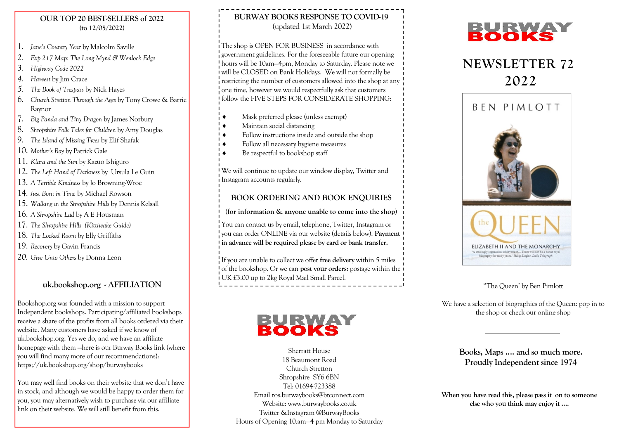#### OUR TOP 20 BEST-SELLERS of 2022 (to 12/05/2022)

- 1. Jane's Country Year by Malcolm Saville
- 2. Exp 217 Map: The Long Mynd & Wenlock Edge
- 3. Highway Code 2022
- 4. Harvest by Jim Crace
- 5. The Book of Trespass by Nick Hayes
- 6. Church Stretton Through the Ages by Tony Crowe & Barrie Raynor
- 7. Big Panda and Tiny Dragon by James Norbury
- 8. Shropshire Folk Tales for Children by Amy Douglas
- 9. The Island of Missing Trees by Elif Shafak
- 10. Mother's Boy by Patrick Gale
- 11. Klara and the Sun by Kazuo Ishiguro
- 12. The Left Hand of Darkness by Ursula Le Guin
- 13. A Terrible Kindness by Jo Browning-Wroe
- 14. Just Born in Time by Michael Rowson
- 15. Walking in the Shropshire Hills by Dennis Kelsall
- 16. A Shropshire Lad by A E Housman
- 17. The Shropshire Hills (Kittiwake Guide)
- 18. The Locked Room by Elly Griffiths
- 19. Recovery by Gavin Francis
- 20. Give Unto Others by Donna Leon

# uk.bookshop.org - AFFILIATION

Bookshop.org was founded with a mission to support Independent bookshops. Participating/affiliated bookshops receive a share of the profits from all books ordered via their website. Many customers have asked if we know of uk.bookshop.org. Yes we do, and we have an affiliate homepage with them —here is our Burway Books link (where you will find many more of our recommendations): https://uk.bookshop.org/shop/burwaybooks

You may well find books on their website that we don't have in stock, and although we would be happy to order them for you, you may alternatively wish to purchase via our affiliate link on their website. We will still benefit from this.

# BURWAY BOOKS RESPONSE TO COVID-19 (updated 1st March 2022)

The shop is OPEN FOR BUSINESS in accordance with government guidelines. For the foreseeable future our opening hours will be 10am—4pm, Monday to Saturday. Please note we will be CLOSED on Bank Holidays. We will not formally be restricting the number of customers allowed into the shop at any one time, however we would respectfully ask that customers follow the FIVE STEPS FOR CONSIDERATE SHOPPING:

- $\bullet$  Mask preferred please (unless exempt)
- $\bullet$  Maintain social distancing
- ● Follow instructions inside and outside the shop
- $\overline{\bullet}$  Follow all necessary hygiene measures
- Be respectful to bookshop staff

We will continue to update our window display, Twitter and **I**nstagram accounts regularly.

# BOOK ORDERING AND BOOK ENQUIRIES

(for information & anyone unable to come into the shop)

You can contact us by email, telephone, Twitter, Instagram or vou can order ONLINE via our website (details below). Payment in advance will be required please by card or bank transfer.

If you are unable to collect we offer free delivery within 5 miles of the bookshop. Or we can post your orders: postage within the UK £3.00 up to 2kg Royal Mail Small Parcel.

# BURWAY

Sherratt House 18 Beaumont Road Church Stretton Shropshire SY6 6BN Tel: 01694-723388 Email ros.burwaybooks@btconnect.com Website: www.burwaybooks.co.uk Twitter &Instagram @BurwayBooks Hours of Opening 10.am—4 pm Monday to Saturday



# NEWSLETTER 72 2022



# ''The Queen' by Ben Pimlott

We have a selection of biographies of the Queen: pop in to the shop or check our online shop

> Books, Maps …. and so much more. Proudly Independent since 1974

When you have read this, please pass it on to someone else who you think may enjoy it ….